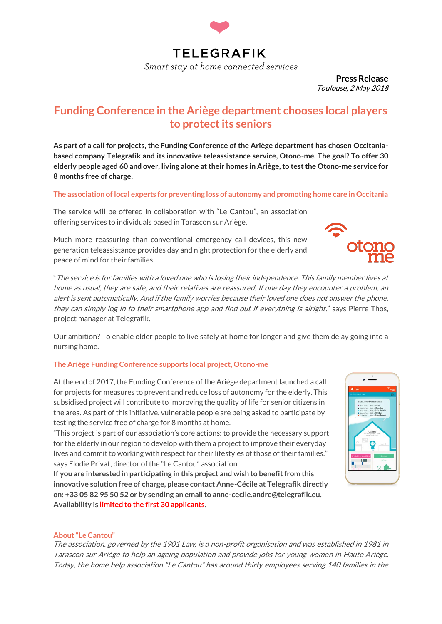

**Press Release**  Toulouse, 2 May 2018

# **Funding Conference in the Ariège department chooses local players to protect its seniors**

**As part of a call for projects, the Funding Conference of the Ariège department has chosen Occitaniabased company Telegrafik and its innovative teleassistance service, Otono-me. The goal? To offer 30 elderly people aged 60 and over, living alone at their homes in Ariège, to test the Otono-me service for 8 months free of charge.** 

### **The association of local experts for preventing loss of autonomy and promoting home care in Occitania**

The service will be offered in collaboration with "Le Cantou", an association offering services to individuals based in Tarascon sur Ariège.

Much more reassuring than conventional emergency call devices, this new generation teleassistance provides day and night protection for the elderly and peace of mind for their families.

"The service is for families with a loved one who is losing their independence. This family member lives at home as usual, they are safe, and their relatives are reassured. If one day they encounter a problem, an alert is sent automatically. And if the family worries because their loved one does not answer the phone, they can simply log in to their smartphone app and find out if everything is alright." says Pierre Thos, project manager at Telegrafik.

Our ambition? To enable older people to live safely at home for longer and give them delay going into a nursing home.

# **The Ariège Funding Conference supports local project, Otono-me**

At the end of 2017, the Funding Conference of the Ariège department launched a call for projects for measures to prevent and reduce loss of autonomy for the elderly. This subsidised project will contribute to improving the quality of life for senior citizens in the area. As part of this initiative, vulnerable people are being asked to participate by testing the service free of charge for 8 months at home.

"This project is part of our association's core actions: to provide the necessary support for the elderly in our region to develop with them a project to improve their everyday lives and commit to working with respect for their lifestyles of those of their families." says Elodie Privat, director of the "Le Cantou" association.

**If you are interested in participating in this project and wish to benefit from this innovative solution free of charge, please contact Anne-Cécile at Telegrafik directly on: +33 05 82 95 50 52 or by sending an email to anne-cecile.andre@telegrafik.eu. Availability is limited to the first 30 applicants**.



#### **About "Le Cantou"**

The association, governed by the 1901 Law, is a non-profit organisation and was established in 1981 in Tarascon sur Ariège to help an ageing population and provide jobs for young women in Haute Ariège. Today, the home help association "Le Cantou" has around thirty employees serving 140 families in the